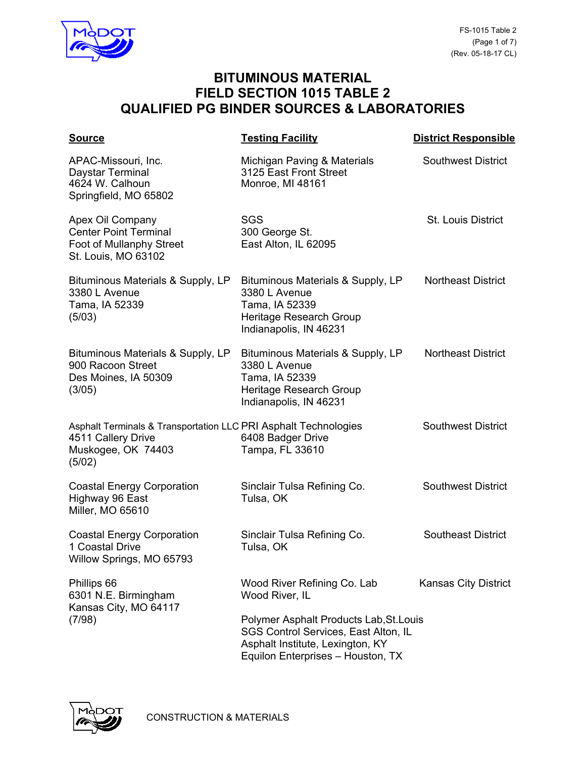

| <b>Source</b>                                                                                                         | <b>Testing Facility</b>                                                                                                                                  | <b>District Responsible</b> |
|-----------------------------------------------------------------------------------------------------------------------|----------------------------------------------------------------------------------------------------------------------------------------------------------|-----------------------------|
| APAC-Missouri, Inc.<br>Daystar Terminal<br>4624 W. Calhoun<br>Springfield, MO 65802                                   | Michigan Paving & Materials<br>3125 East Front Street<br>Monroe, MI 48161                                                                                | <b>Southwest District</b>   |
| Apex Oil Company<br><b>Center Point Terminal</b><br>Foot of Mullanphy Street<br>St. Louis, MO 63102                   | <b>SGS</b><br>300 George St.<br>East Alton, IL 62095                                                                                                     | <b>St. Louis District</b>   |
| Bituminous Materials & Supply, LP<br>3380 L Avenue<br>Tama, IA 52339<br>(5/03)                                        | Bituminous Materials & Supply, LP<br>3380 L Avenue<br>Tama, IA 52339<br>Heritage Research Group<br>Indianapolis, IN 46231                                | <b>Northeast District</b>   |
| Bituminous Materials & Supply, LP<br>900 Racoon Street<br>Des Moines, IA 50309<br>(3/05)                              | Bituminous Materials & Supply, LP<br>3380 L Avenue<br>Tama, IA 52339<br>Heritage Research Group<br>Indianapolis, IN 46231                                | <b>Northeast District</b>   |
| Asphalt Terminals & Transportation LLC PRI Asphalt Technologies<br>4511 Callery Drive<br>Muskogee, OK 74403<br>(5/02) | 6408 Badger Drive<br>Tampa, FL 33610                                                                                                                     | <b>Southwest District</b>   |
| <b>Coastal Energy Corporation</b><br>Highway 96 East<br>Miller, MO 65610                                              | Sinclair Tulsa Refining Co.<br>Tulsa, OK                                                                                                                 | <b>Southwest District</b>   |
| <b>Coastal Energy Corporation</b><br>1 Coastal Drive<br>Willow Springs, MO 65793                                      | Sinclair Tulsa Refining Co.<br>Tulsa, OK                                                                                                                 | <b>Southeast District</b>   |
| Phillips 66<br>6301 N.E. Birmingham<br>Kansas City, MO 64117<br>(7/98)                                                | Wood River Refining Co. Lab<br>Wood River, IL                                                                                                            | <b>Kansas City District</b> |
|                                                                                                                       | Polymer Asphalt Products Lab, St. Louis<br>SGS Control Services, East Alton, IL<br>Asphalt Institute, Lexington, KY<br>Equilon Enterprises - Houston, TX |                             |

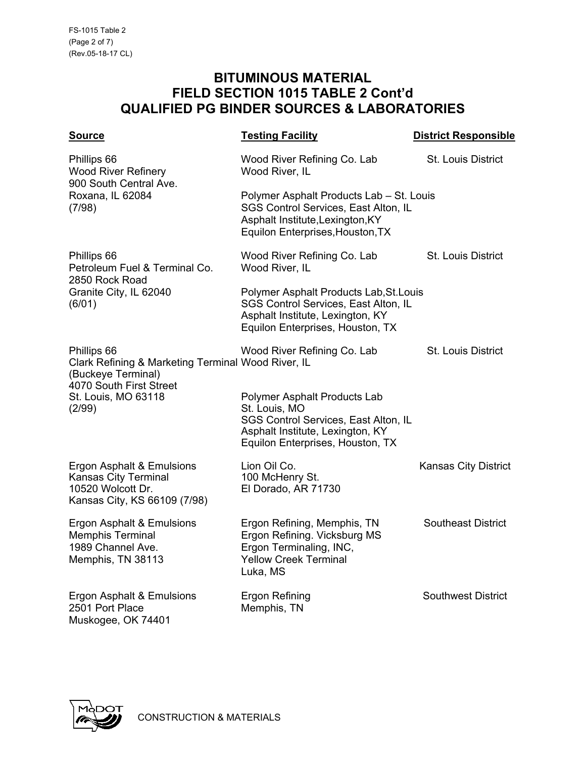| <b>Source</b>                                                                                                                                       | <b>Testing Facility</b>                                                                                                                                              | <b>District Responsible</b> |
|-----------------------------------------------------------------------------------------------------------------------------------------------------|----------------------------------------------------------------------------------------------------------------------------------------------------------------------|-----------------------------|
| Phillips 66<br><b>Wood River Refinery</b><br>900 South Central Ave.<br>Roxana, IL 62084<br>(7/98)                                                   | Wood River Refining Co. Lab<br>Wood River, IL                                                                                                                        | St. Louis District          |
|                                                                                                                                                     | Polymer Asphalt Products Lab - St. Louis<br>SGS Control Services, East Alton, IL<br>Asphalt Institute, Lexington, KY<br>Equilon Enterprises, Houston, TX             |                             |
| Phillips 66<br>Petroleum Fuel & Terminal Co.<br>2850 Rock Road<br>Granite City, IL 62040<br>(6/01)                                                  | Wood River Refining Co. Lab<br>Wood River, IL                                                                                                                        | St. Louis District          |
|                                                                                                                                                     | Polymer Asphalt Products Lab, St. Louis<br>SGS Control Services, East Alton, IL<br>Asphalt Institute, Lexington, KY<br>Equilon Enterprises, Houston, TX              |                             |
| Phillips 66<br>Clark Refining & Marketing Terminal Wood River, IL<br>(Buckeye Terminal)<br>4070 South First Street<br>St. Louis, MO 63118<br>(2/99) | Wood River Refining Co. Lab                                                                                                                                          | <b>St. Louis District</b>   |
|                                                                                                                                                     | <b>Polymer Asphalt Products Lab</b><br>St. Louis, MO<br>SGS Control Services, East Alton, IL<br>Asphalt Institute, Lexington, KY<br>Equilon Enterprises, Houston, TX |                             |
| Ergon Asphalt & Emulsions<br><b>Kansas City Terminal</b><br>10520 Wolcott Dr.<br>Kansas City, KS 66109 (7/98)                                       | Lion Oil Co.<br>100 McHenry St.<br>El Dorado, AR 71730                                                                                                               | <b>Kansas City District</b> |
| Ergon Asphalt & Emulsions<br><b>Memphis Terminal</b><br>1989 Channel Ave.<br>Memphis, TN 38113                                                      | Ergon Refining, Memphis, TN<br>Ergon Refining. Vicksburg MS<br>Ergon Terminaling, INC,<br><b>Yellow Creek Terminal</b><br>Luka, MS                                   | <b>Southeast District</b>   |
| Ergon Asphalt & Emulsions<br>2501 Port Place<br>Muskogee, OK 74401                                                                                  | <b>Ergon Refining</b><br>Memphis, TN                                                                                                                                 | <b>Southwest District</b>   |

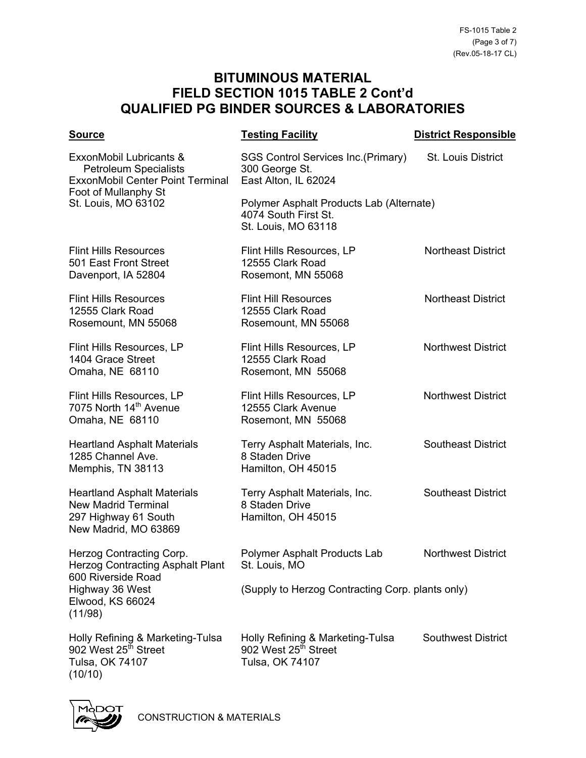| <u>Source</u>                                                                                                                                      | <b>Testing Facility</b>                                                                 | <b>District Responsible</b> |
|----------------------------------------------------------------------------------------------------------------------------------------------------|-----------------------------------------------------------------------------------------|-----------------------------|
| ExxonMobil Lubricants &<br><b>Petroleum Specialists</b><br><b>ExxonMobil Center Point Terminal</b><br>Foot of Mullanphy St<br>St. Louis, MO 63102  | SGS Control Services Inc. (Primary)<br>300 George St.<br>East Alton, IL 62024           | St. Louis District          |
|                                                                                                                                                    | Polymer Asphalt Products Lab (Alternate)<br>4074 South First St.<br>St. Louis, MO 63118 |                             |
| <b>Flint Hills Resources</b><br>501 East Front Street<br>Davenport, IA 52804                                                                       | Flint Hills Resources, LP<br>12555 Clark Road<br>Rosemont, MN 55068                     | <b>Northeast District</b>   |
| <b>Flint Hills Resources</b><br>12555 Clark Road<br>Rosemount, MN 55068                                                                            | <b>Flint Hill Resources</b><br>12555 Clark Road<br>Rosemount, MN 55068                  | <b>Northeast District</b>   |
| Flint Hills Resources, LP<br>1404 Grace Street<br>Omaha, NE 68110                                                                                  | Flint Hills Resources, LP<br>12555 Clark Road<br>Rosemont, MN 55068                     | <b>Northwest District</b>   |
| Flint Hills Resources, LP<br>7075 North 14 <sup>th</sup> Avenue<br>Omaha, NE 68110                                                                 | Flint Hills Resources, LP<br>12555 Clark Avenue<br>Rosemont, MN 55068                   | <b>Northwest District</b>   |
| <b>Heartland Asphalt Materials</b><br>1285 Channel Ave.<br>Memphis, TN 38113                                                                       | Terry Asphalt Materials, Inc.<br>8 Staden Drive<br>Hamilton, OH 45015                   | <b>Southeast District</b>   |
| <b>Heartland Asphalt Materials</b><br><b>New Madrid Terminal</b><br>297 Highway 61 South<br>New Madrid, MO 63869                                   | Terry Asphalt Materials, Inc.<br>8 Staden Drive<br>Hamilton, OH 45015                   | <b>Southeast District</b>   |
| <b>Herzog Contracting Corp.</b><br><b>Herzog Contracting Asphalt Plant</b><br>600 Riverside Road<br>Highway 36 West<br>Elwood, KS 66024<br>(11/98) | Polymer Asphalt Products Lab<br>St. Louis, MO                                           | <b>Northwest District</b>   |
|                                                                                                                                                    | (Supply to Herzog Contracting Corp. plants only)                                        |                             |
| Holly Refining & Marketing-Tulsa<br>902 West 25 <sup>th</sup> Street<br>Tulsa, OK 74107<br>(10/10)                                                 | Holly Refining & Marketing-Tulsa<br>902 West 25 <sup>th</sup> Street<br>Tulsa, OK 74107 | <b>Southwest District</b>   |



CONSTRUCTION & MATERIALS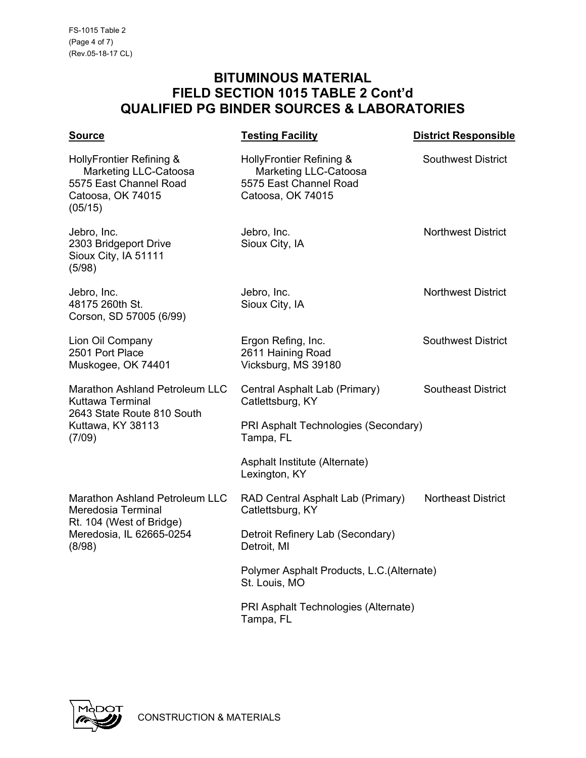| <b>Source</b>                                                                                                                 | <b>Testing Facility</b>                                                                                 | <b>District Responsible</b> |
|-------------------------------------------------------------------------------------------------------------------------------|---------------------------------------------------------------------------------------------------------|-----------------------------|
| HollyFrontier Refining &<br>Marketing LLC-Catoosa<br>5575 East Channel Road<br>Catoosa, OK 74015<br>(05/15)                   | HollyFrontier Refining &<br><b>Marketing LLC-Catoosa</b><br>5575 East Channel Road<br>Catoosa, OK 74015 | <b>Southwest District</b>   |
| Jebro, Inc.<br>2303 Bridgeport Drive<br>Sioux City, IA 51111<br>(5/98)                                                        | Jebro, Inc.<br>Sioux City, IA                                                                           | <b>Northwest District</b>   |
| Jebro, Inc.<br>48175 260th St.<br>Corson, SD 57005 (6/99)                                                                     | Jebro, Inc.<br>Sioux City, IA                                                                           | <b>Northwest District</b>   |
| Lion Oil Company<br>2501 Port Place<br>Muskogee, OK 74401                                                                     | Ergon Refing, Inc.<br>2611 Haining Road<br>Vicksburg, MS 39180                                          | <b>Southwest District</b>   |
| <b>Marathon Ashland Petroleum LLC</b><br>Kuttawa Terminal<br>2643 State Route 810 South<br>Kuttawa, KY 38113<br>(7/09)        | Central Asphalt Lab (Primary)<br>Catlettsburg, KY                                                       | <b>Southeast District</b>   |
|                                                                                                                               | PRI Asphalt Technologies (Secondary)<br>Tampa, FL                                                       |                             |
|                                                                                                                               | Asphalt Institute (Alternate)<br>Lexington, KY                                                          |                             |
| <b>Marathon Ashland Petroleum LLC</b><br>Meredosia Terminal<br>Rt. 104 (West of Bridge)<br>Meredosia, IL 62665-0254<br>(8/98) | RAD Central Asphalt Lab (Primary)<br>Catlettsburg, KY                                                   | <b>Northeast District</b>   |
|                                                                                                                               | Detroit Refinery Lab (Secondary)<br>Detroit, MI                                                         |                             |
|                                                                                                                               | Polymer Asphalt Products, L.C. (Alternate)<br>St. Louis, MO                                             |                             |
|                                                                                                                               | PRI Asphalt Technologies (Alternate)<br>Tampa, FL                                                       |                             |

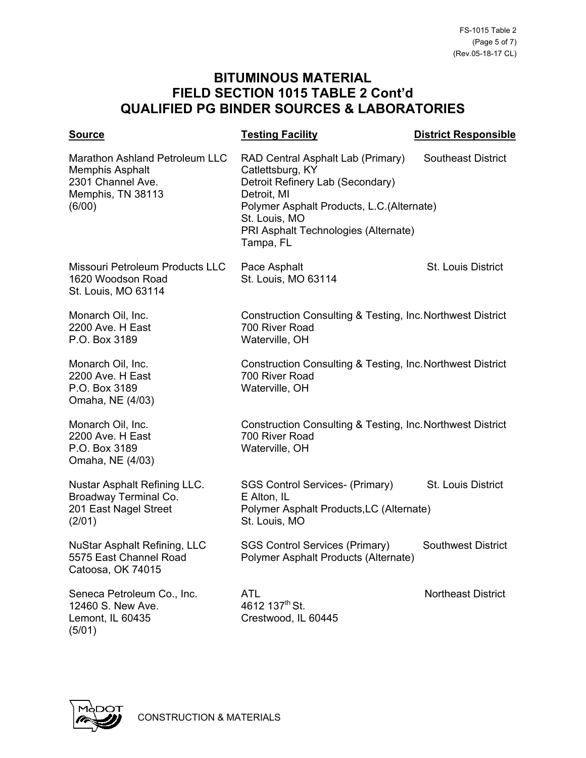| <b>Source</b>                                                                                                       | <b>Testing Facility</b>                                                                                                                                                                                                     | <b>District Responsible</b> |
|---------------------------------------------------------------------------------------------------------------------|-----------------------------------------------------------------------------------------------------------------------------------------------------------------------------------------------------------------------------|-----------------------------|
| <b>Marathon Ashland Petroleum LLC</b><br><b>Memphis Asphalt</b><br>2301 Channel Ave.<br>Memphis, TN 38113<br>(6/00) | RAD Central Asphalt Lab (Primary)<br>Catlettsburg, KY<br>Detroit Refinery Lab (Secondary)<br>Detroit, MI<br>Polymer Asphalt Products, L.C.(Alternate)<br>St. Louis, MO<br>PRI Asphalt Technologies (Alternate)<br>Tampa, FL | <b>Southeast District</b>   |
| Missouri Petroleum Products LLC<br>1620 Woodson Road<br>St. Louis, MO 63114                                         | Pace Asphalt<br>St. Louis, MO 63114                                                                                                                                                                                         | St. Louis District          |
| Monarch Oil, Inc.<br>2200 Ave. H East<br>P.O. Box 3189                                                              | Construction Consulting & Testing, Inc. Northwest District<br>700 River Road<br>Waterville, OH                                                                                                                              |                             |
| Monarch Oil, Inc.<br>2200 Ave. H East<br>P.O. Box 3189<br>Omaha, NE (4/03)                                          | Construction Consulting & Testing, Inc. Northwest District<br>700 River Road<br>Waterville, OH                                                                                                                              |                             |
| Monarch Oil, Inc.<br>2200 Ave. H East<br>P.O. Box 3189<br>Omaha, NE (4/03)                                          | Construction Consulting & Testing, Inc. Northwest District<br>700 River Road<br>Waterville, OH                                                                                                                              |                             |
| <b>Nustar Asphalt Refining LLC.</b><br>Broadway Terminal Co.<br>201 East Nagel Street<br>(2/01)                     | <b>SGS Control Services- (Primary)</b><br>E Alton, IL<br>Polymer Asphalt Products, LC (Alternate)<br>St. Louis, MO                                                                                                          | St. Louis District          |
| <b>NuStar Asphalt Refining, LLC</b><br>5575 East Channel Road<br>Catoosa, OK 74015                                  | <b>SGS Control Services (Primary)</b><br>Polymer Asphalt Products (Alternate)                                                                                                                                               | <b>Southwest District</b>   |
| Seneca Petroleum Co., Inc.<br>12460 S. New Ave.<br>Lemont, IL 60435<br>(5/01)                                       | <b>ATL</b><br>4612 137 <sup>th</sup> St.<br>Crestwood, IL 60445                                                                                                                                                             | <b>Northeast District</b>   |

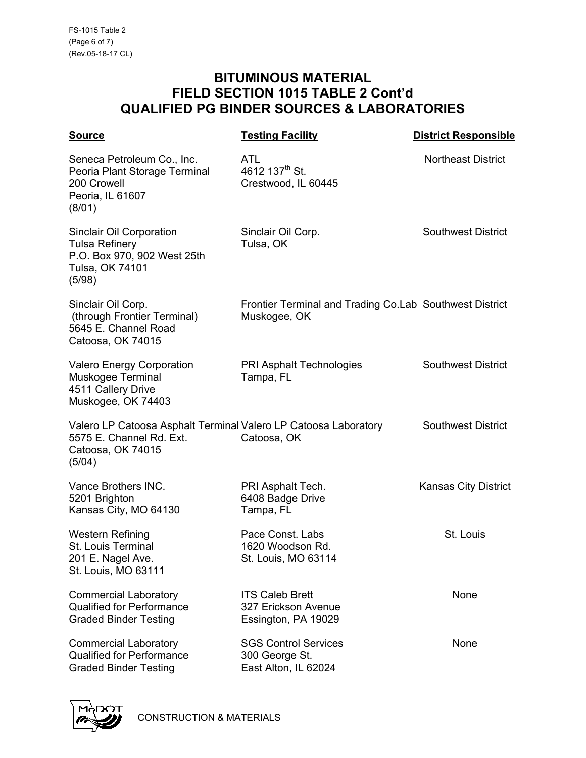| <b>Source</b>                                                                                                              | <b>Testing Facility</b>                                                 | <b>District Responsible</b> |
|----------------------------------------------------------------------------------------------------------------------------|-------------------------------------------------------------------------|-----------------------------|
| Seneca Petroleum Co., Inc.<br>Peoria Plant Storage Terminal<br>200 Crowell<br>Peoria, IL 61607<br>(8/01)                   | ATL<br>4612 137 <sup>th</sup> St.<br>Crestwood, IL 60445                | <b>Northeast District</b>   |
| <b>Sinclair Oil Corporation</b><br><b>Tulsa Refinery</b><br>P.O. Box 970, 902 West 25th<br>Tulsa, OK 74101<br>(5/98)       | Sinclair Oil Corp.<br>Tulsa, OK                                         | <b>Southwest District</b>   |
| Sinclair Oil Corp.<br>(through Frontier Terminal)<br>5645 E. Channel Road<br>Catoosa, OK 74015                             | Frontier Terminal and Trading Co.Lab Southwest District<br>Muskogee, OK |                             |
| <b>Valero Energy Corporation</b><br>Muskogee Terminal<br>4511 Callery Drive<br>Muskogee, OK 74403                          | PRI Asphalt Technologies<br>Tampa, FL                                   | <b>Southwest District</b>   |
| Valero LP Catoosa Asphalt Terminal Valero LP Catoosa Laboratory<br>5575 E. Channel Rd. Ext.<br>Catoosa, OK 74015<br>(5/04) | Catoosa, OK                                                             | <b>Southwest District</b>   |
| Vance Brothers INC.<br>5201 Brighton<br>Kansas City, MO 64130                                                              | PRI Asphalt Tech.<br>6408 Badge Drive<br>Tampa, FL                      | <b>Kansas City District</b> |
| <b>Western Refining</b><br><b>St. Louis Terminal</b><br>201 E. Nagel Ave.<br>St. Louis, MO 63111                           | Pace Const. Labs<br>1620 Woodson Rd.<br>St. Louis, MO 63114             | St. Louis                   |
| <b>Commercial Laboratory</b><br><b>Qualified for Performance</b><br><b>Graded Binder Testing</b>                           | <b>ITS Caleb Brett</b><br>327 Erickson Avenue<br>Essington, PA 19029    | None                        |
| <b>Commercial Laboratory</b><br><b>Qualified for Performance</b><br><b>Graded Binder Testing</b>                           | <b>SGS Control Services</b><br>300 George St.<br>East Alton, IL 62024   | None                        |